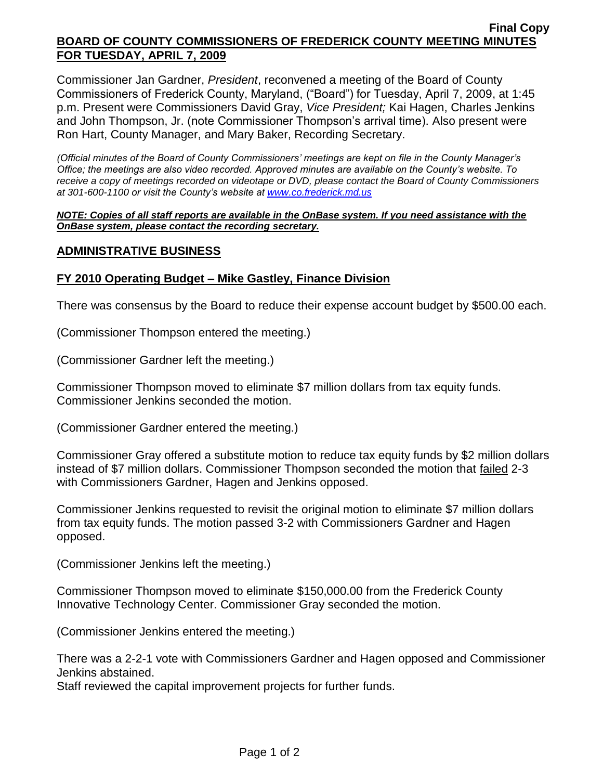### **Final Copy BOARD OF COUNTY COMMISSIONERS OF FREDERICK COUNTY MEETING MINUTES FOR TUESDAY, APRIL 7, 2009**

Commissioner Jan Gardner, *President*, reconvened a meeting of the Board of County Commissioners of Frederick County, Maryland, ("Board") for Tuesday, April 7, 2009, at 1:45 p.m. Present were Commissioners David Gray, *Vice President;* Kai Hagen, Charles Jenkins and John Thompson, Jr. (note Commissioner Thompson's arrival time). Also present were Ron Hart, County Manager, and Mary Baker, Recording Secretary.

*(Official minutes of the Board of County Commissioners' meetings are kept on file in the County Manager's Office; the meetings are also video recorded. Approved minutes are available on the County's website. To receive a copy of meetings recorded on videotape or DVD, please contact the Board of County Commissioners at 301-600-1100 or visit the County's website at [www.co.frederick.md.us](http://www.co.frederick.md.us/)*

#### *NOTE: Copies of all staff reports are available in the OnBase system. If you need assistance with the OnBase system, please contact the recording secretary.*

### **ADMINISTRATIVE BUSINESS**

### **FY 2010 Operating Budget – Mike Gastley, Finance Division**

There was consensus by the Board to reduce their expense account budget by \$500.00 each.

(Commissioner Thompson entered the meeting.)

(Commissioner Gardner left the meeting.)

Commissioner Thompson moved to eliminate \$7 million dollars from tax equity funds. Commissioner Jenkins seconded the motion.

(Commissioner Gardner entered the meeting.)

Commissioner Gray offered a substitute motion to reduce tax equity funds by \$2 million dollars instead of \$7 million dollars. Commissioner Thompson seconded the motion that failed 2-3 with Commissioners Gardner, Hagen and Jenkins opposed.

Commissioner Jenkins requested to revisit the original motion to eliminate \$7 million dollars from tax equity funds. The motion passed 3-2 with Commissioners Gardner and Hagen opposed.

(Commissioner Jenkins left the meeting.)

Commissioner Thompson moved to eliminate \$150,000.00 from the Frederick County Innovative Technology Center. Commissioner Gray seconded the motion.

(Commissioner Jenkins entered the meeting.)

There was a 2-2-1 vote with Commissioners Gardner and Hagen opposed and Commissioner Jenkins abstained.

Staff reviewed the capital improvement projects for further funds.